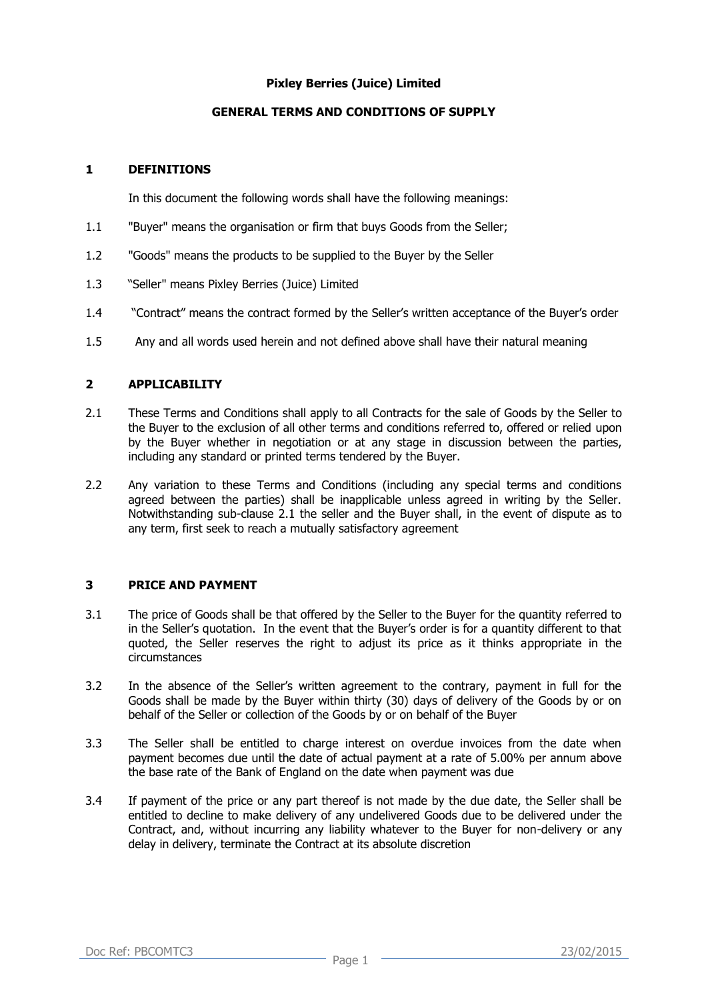## **Pixley Berries (Juice) Limited**

# **GENERAL TERMS AND CONDITIONS OF SUPPLY**

## **1 DEFINITIONS**

In this document the following words shall have the following meanings:

- 1.1 "Buyer" means the organisation or firm that buys Goods from the Seller;
- 1.2 "Goods" means the products to be supplied to the Buyer by the Seller
- 1.3 "Seller" means Pixley Berries (Juice) Limited
- 1.4 "Contract" means the contract formed by the Seller's written acceptance of the Buyer's order
- 1.5 Any and all words used herein and not defined above shall have their natural meaning

## **2 APPLICABILITY**

- 2.1 These Terms and Conditions shall apply to all Contracts for the sale of Goods by the Seller to the Buyer to the exclusion of all other terms and conditions referred to, offered or relied upon by the Buyer whether in negotiation or at any stage in discussion between the parties, including any standard or printed terms tendered by the Buyer.
- 2.2 Any variation to these Terms and Conditions (including any special terms and conditions agreed between the parties) shall be inapplicable unless agreed in writing by the Seller. Notwithstanding sub-clause 2.1 the seller and the Buyer shall, in the event of dispute as to any term, first seek to reach a mutually satisfactory agreement

#### **3 PRICE AND PAYMENT**

- 3.1 The price of Goods shall be that offered by the Seller to the Buyer for the quantity referred to in the Seller's quotation. In the event that the Buyer's order is for a quantity different to that quoted, the Seller reserves the right to adjust its price as it thinks appropriate in the circumstances
- 3.2 In the absence of the Seller's written agreement to the contrary, payment in full for the Goods shall be made by the Buyer within thirty (30) days of delivery of the Goods by or on behalf of the Seller or collection of the Goods by or on behalf of the Buyer
- 3.3 The Seller shall be entitled to charge interest on overdue invoices from the date when payment becomes due until the date of actual payment at a rate of 5.00% per annum above the base rate of the Bank of England on the date when payment was due
- 3.4 If payment of the price or any part thereof is not made by the due date, the Seller shall be entitled to decline to make delivery of any undelivered Goods due to be delivered under the Contract, and, without incurring any liability whatever to the Buyer for non-delivery or any delay in delivery, terminate the Contract at its absolute discretion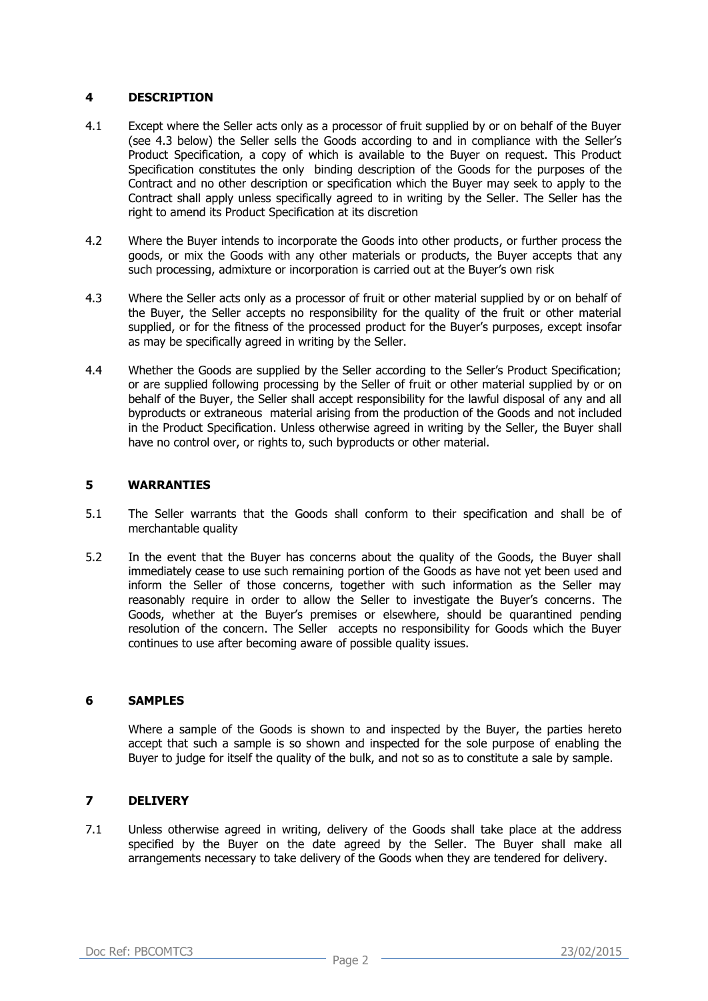## **4 DESCRIPTION**

- 4.1 Except where the Seller acts only as a processor of fruit supplied by or on behalf of the Buyer (see 4.3 below) the Seller sells the Goods according to and in compliance with the Seller's Product Specification, a copy of which is available to the Buyer on request. This Product Specification constitutes the only binding description of the Goods for the purposes of the Contract and no other description or specification which the Buyer may seek to apply to the Contract shall apply unless specifically agreed to in writing by the Seller. The Seller has the right to amend its Product Specification at its discretion
- 4.2 Where the Buyer intends to incorporate the Goods into other products, or further process the goods, or mix the Goods with any other materials or products, the Buyer accepts that any such processing, admixture or incorporation is carried out at the Buyer's own risk
- 4.3 Where the Seller acts only as a processor of fruit or other material supplied by or on behalf of the Buyer, the Seller accepts no responsibility for the quality of the fruit or other material supplied, or for the fitness of the processed product for the Buyer's purposes, except insofar as may be specifically agreed in writing by the Seller.
- 4.4 Whether the Goods are supplied by the Seller according to the Seller's Product Specification; or are supplied following processing by the Seller of fruit or other material supplied by or on behalf of the Buyer, the Seller shall accept responsibility for the lawful disposal of any and all byproducts or extraneous material arising from the production of the Goods and not included in the Product Specification. Unless otherwise agreed in writing by the Seller, the Buyer shall have no control over, or rights to, such byproducts or other material.

# **5 WARRANTIES**

- 5.1 The Seller warrants that the Goods shall conform to their specification and shall be of merchantable quality
- 5.2 In the event that the Buyer has concerns about the quality of the Goods, the Buyer shall immediately cease to use such remaining portion of the Goods as have not yet been used and inform the Seller of those concerns, together with such information as the Seller may reasonably require in order to allow the Seller to investigate the Buyer's concerns. The Goods, whether at the Buyer's premises or elsewhere, should be quarantined pending resolution of the concern. The Seller accepts no responsibility for Goods which the Buyer continues to use after becoming aware of possible quality issues.

#### **6 SAMPLES**

Where a sample of the Goods is shown to and inspected by the Buyer, the parties hereto accept that such a sample is so shown and inspected for the sole purpose of enabling the Buyer to judge for itself the quality of the bulk, and not so as to constitute a sale by sample.

# **7 DELIVERY**

7.1 Unless otherwise agreed in writing, delivery of the Goods shall take place at the address specified by the Buyer on the date agreed by the Seller. The Buyer shall make all arrangements necessary to take delivery of the Goods when they are tendered for delivery.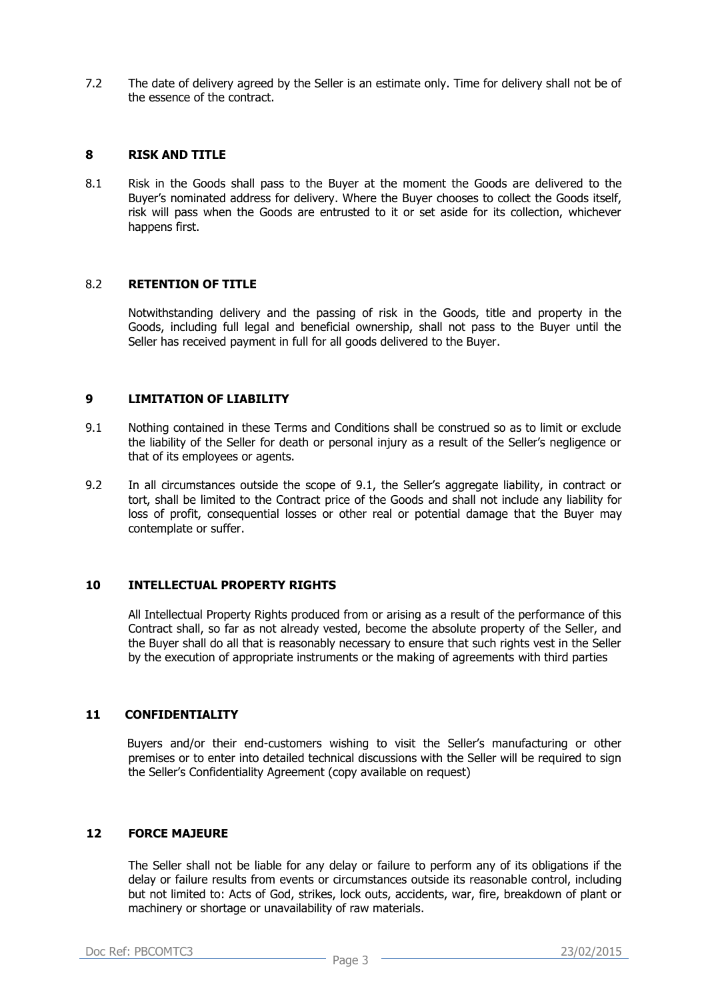7.2 The date of delivery agreed by the Seller is an estimate only. Time for delivery shall not be of the essence of the contract.

#### **8 RISK AND TITLE**

8.1 Risk in the Goods shall pass to the Buyer at the moment the Goods are delivered to the Buyer's nominated address for delivery. Where the Buyer chooses to collect the Goods itself, risk will pass when the Goods are entrusted to it or set aside for its collection, whichever happens first.

#### 8.2 **RETENTION OF TITLE**

Notwithstanding delivery and the passing of risk in the Goods, title and property in the Goods, including full legal and beneficial ownership, shall not pass to the Buyer until the Seller has received payment in full for all goods delivered to the Buyer.

# **9 LIMITATION OF LIABILITY**

- 9.1 Nothing contained in these Terms and Conditions shall be construed so as to limit or exclude the liability of the Seller for death or personal injury as a result of the Seller's negligence or that of its employees or agents.
- 9.2 In all circumstances outside the scope of 9.1, the Seller's aggregate liability, in contract or tort, shall be limited to the Contract price of the Goods and shall not include any liability for loss of profit, consequential losses or other real or potential damage that the Buyer may contemplate or suffer.

#### **10 INTELLECTUAL PROPERTY RIGHTS**

All Intellectual Property Rights produced from or arising as a result of the performance of this Contract shall, so far as not already vested, become the absolute property of the Seller, and the Buyer shall do all that is reasonably necessary to ensure that such rights vest in the Seller by the execution of appropriate instruments or the making of agreements with third parties

#### **11 CONFIDENTIALITY**

Buyers and/or their end-customers wishing to visit the Seller's manufacturing or other premises or to enter into detailed technical discussions with the Seller will be required to sign the Seller's Confidentiality Agreement (copy available on request)

## **12 FORCE MAJEURE**

The Seller shall not be liable for any delay or failure to perform any of its obligations if the delay or failure results from events or circumstances outside its reasonable control, including but not limited to: Acts of God, strikes, lock outs, accidents, war, fire, breakdown of plant or machinery or shortage or unavailability of raw materials.